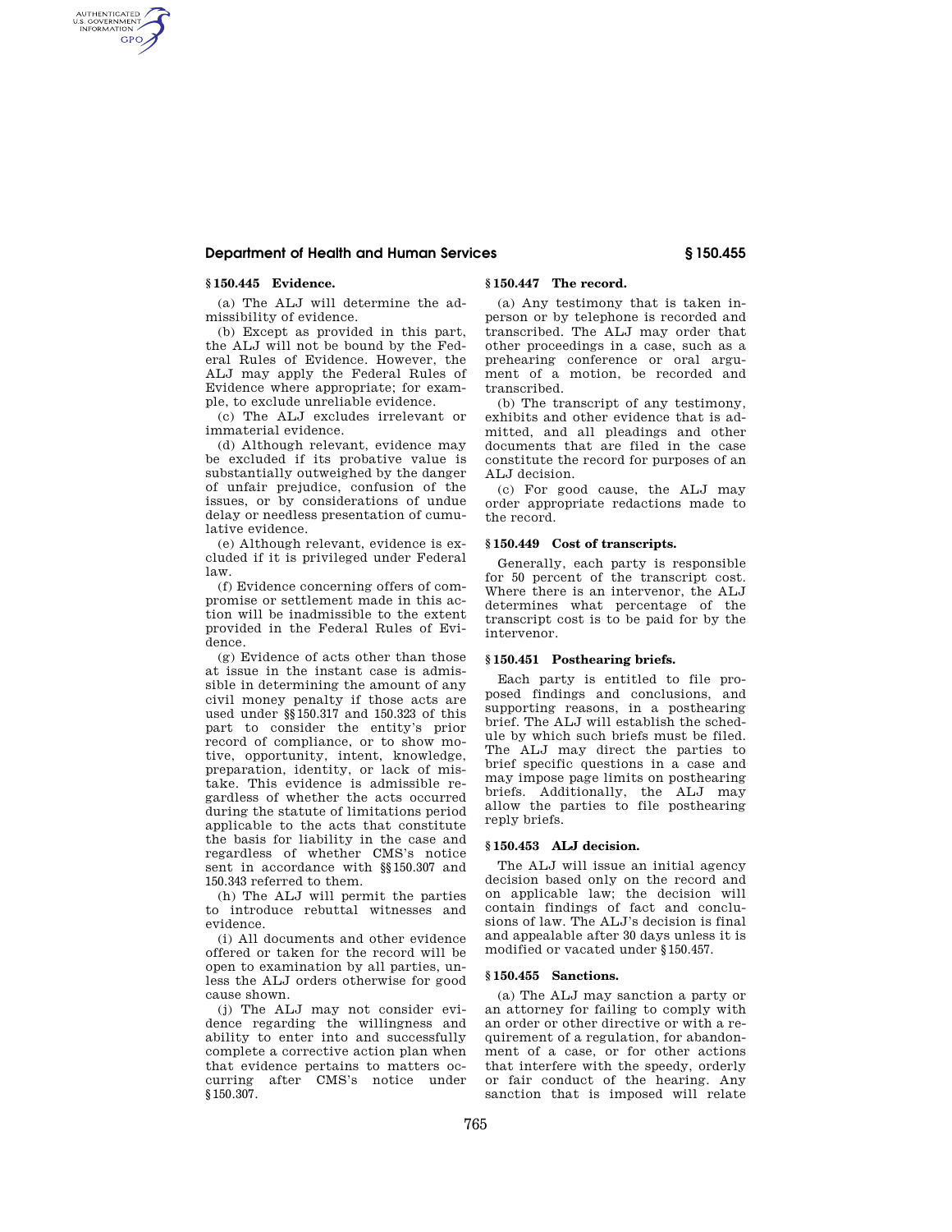# **Department of Health and Human Services § 150.455**

# **§ 150.445 Evidence.**

AUTHENTICATED<br>U.S. GOVERNMENT<br>INFORMATION **GPO** 

> (a) The ALJ will determine the admissibility of evidence.

> (b) Except as provided in this part, the ALJ will not be bound by the Federal Rules of Evidence. However, the ALJ may apply the Federal Rules of Evidence where appropriate; for example, to exclude unreliable evidence.

> (c) The ALJ excludes irrelevant or immaterial evidence.

> (d) Although relevant, evidence may be excluded if its probative value is substantially outweighed by the danger of unfair prejudice, confusion of the issues, or by considerations of undue delay or needless presentation of cumulative evidence.

(e) Although relevant, evidence is excluded if it is privileged under Federal law.

(f) Evidence concerning offers of compromise or settlement made in this action will be inadmissible to the extent provided in the Federal Rules of Evidence.

(g) Evidence of acts other than those at issue in the instant case is admissible in determining the amount of any civil money penalty if those acts are used under §§150.317 and 150.323 of this part to consider the entity's prior record of compliance, or to show motive, opportunity, intent, knowledge, preparation, identity, or lack of mistake. This evidence is admissible regardless of whether the acts occurred during the statute of limitations period applicable to the acts that constitute the basis for liability in the case and regardless of whether CMS's notice sent in accordance with §§150.307 and 150.343 referred to them.

(h) The ALJ will permit the parties to introduce rebuttal witnesses and evidence.

(i) All documents and other evidence offered or taken for the record will be open to examination by all parties, unless the ALJ orders otherwise for good cause shown.

(j) The ALJ may not consider evidence regarding the willingness and ability to enter into and successfully complete a corrective action plan when that evidence pertains to matters occurring after CMS's notice under §150.307.

# **§ 150.447 The record.**

(a) Any testimony that is taken inperson or by telephone is recorded and transcribed. The ALJ may order that other proceedings in a case, such as a prehearing conference or oral argument of a motion, be recorded and transcribed.

(b) The transcript of any testimony, exhibits and other evidence that is admitted, and all pleadings and other documents that are filed in the case constitute the record for purposes of an ALJ decision.

(c) For good cause, the ALJ may order appropriate redactions made to the record.

#### **§ 150.449 Cost of transcripts.**

Generally, each party is responsible for 50 percent of the transcript cost. Where there is an intervenor, the ALJ determines what percentage of the transcript cost is to be paid for by the intervenor.

## **§ 150.451 Posthearing briefs.**

Each party is entitled to file proposed findings and conclusions, and supporting reasons, in a posthearing brief. The ALJ will establish the schedule by which such briefs must be filed. The ALJ may direct the parties to brief specific questions in a case and may impose page limits on posthearing briefs. Additionally, the ALJ may allow the parties to file posthearing reply briefs.

## **§ 150.453 ALJ decision.**

The ALJ will issue an initial agency decision based only on the record and on applicable law; the decision will contain findings of fact and conclusions of law. The ALJ's decision is final and appealable after 30 days unless it is modified or vacated under §150.457.

## **§ 150.455 Sanctions.**

(a) The ALJ may sanction a party or an attorney for failing to comply with an order or other directive or with a requirement of a regulation, for abandonment of a case, or for other actions that interfere with the speedy, orderly or fair conduct of the hearing. Any sanction that is imposed will relate